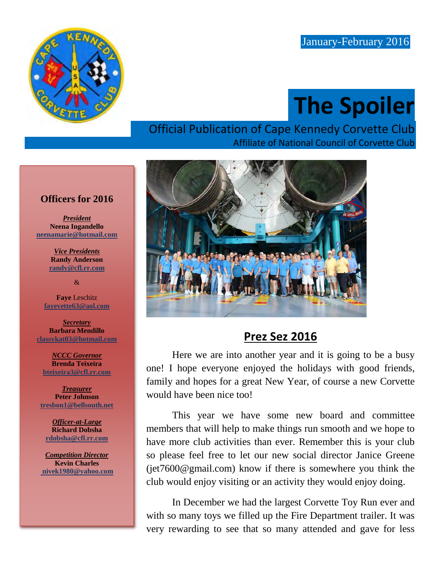

# **The Spoiler**

#### Official Publication of Cape Kennedy Corvette Club Affiliate of National Council of Corvette Club



## **Prez Sez 2016**

Here we are into another year and it is going to be a busy one! I hope everyone enjoyed the holidays with good friends, family and hopes for a great New Year, of course a new Corvette would have been nice too!

This year we have some new board and committee members that will help to make things run smooth and we hope to have more club activities than ever. Remember this is your club so please feel free to let our new social director Janice Greene (jet7600@gmail.com) know if there is somewhere you think the club would enjoy visiting or an activity they would enjoy doing.

In December we had the largest Corvette Toy Run ever and with so many toys we filled up the Fire Department trailer. It was very rewarding to see that so many attended and gave for less

#### **Officers for 2016**

*President* **Neena Ingandello [neenamarie@hotmail.com](mailto:pmartindale1@cfl.rr.com)**

> *Vice Presidents* **Randy Anderson [randy@cfl.rr.com](mailto:randy@cfl.rr.com)**

> > &

**Faye** Leschitz **[fayevette63@aol.com](mailto:fayevette63@aol.com)**

*Secretary* **Barbara Mendillo classykat03@hotmail.com**

*NCCC Governor* **Brenda Teixeira [bteixeira3@cfl.rr.com](mailto:bteixeira3@cfl.rr.com)**

*Treasurer* **Peter Johnson [tresbon1@bellsouth.net](mailto:tresbon1@bellsouth.net)**

*Officer-at-Large* **Richard Dobsha [rdobsha@cfl.rr.com](mailto:neenamarie@hotmail.com)**

*Competition Director* **Kevin Charles [nivek1980@yahoo.com](mailto:nivek1980@yahoo.com)**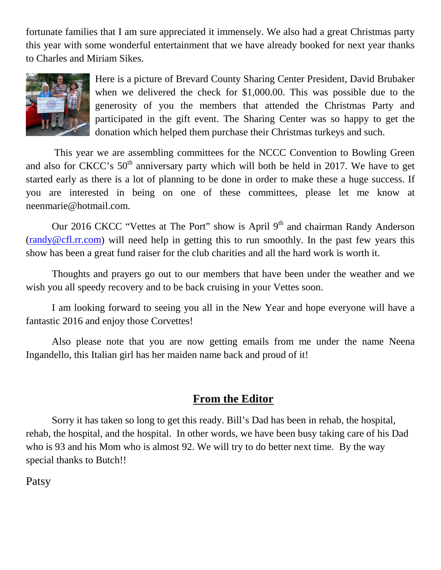fortunate families that I am sure appreciated it immensely. We also had a great Christmas party this year with some wonderful entertainment that we have already booked for next year thanks to Charles and Miriam Sikes.



Here is a picture of Brevard County Sharing Center President, David Brubaker when we delivered the check for \$1,000.00. This was possible due to the generosity of you the members that attended the Christmas Party and participated in the gift event. The Sharing Center was so happy to get the donation which helped them purchase their Christmas turkeys and such.

This year we are assembling committees for the NCCC Convention to Bowling Green and also for CKCC's  $50<sup>th</sup>$  anniversary party which will both be held in 2017. We have to get started early as there is a lot of planning to be done in order to make these a huge success. If you are interested in being on one of these committees, please let me know at neenmarie@hotmail.com.

Our 2016 CKCC "Vettes at The Port" show is April  $9<sup>th</sup>$  and chairman Randy Anderson  $(randy@cf.l.rr.com)$  will need help in getting this to run smoothly. In the past few years this show has been a great fund raiser for the club charities and all the hard work is worth it.

Thoughts and prayers go out to our members that have been under the weather and we wish you all speedy recovery and to be back cruising in your Vettes soon.

I am looking forward to seeing you all in the New Year and hope everyone will have a fantastic 2016 and enjoy those Corvettes!

Also please note that you are now getting emails from me under the name Neena Ingandello, this Italian girl has her maiden name back and proud of it!

#### **From the Editor**

Sorry it has taken so long to get this ready. Bill's Dad has been in rehab, the hospital, rehab, the hospital, and the hospital. In other words, we have been busy taking care of his Dad who is 93 and his Mom who is almost 92. We will try to do better next time. By the way special thanks to Butch!!

Patsy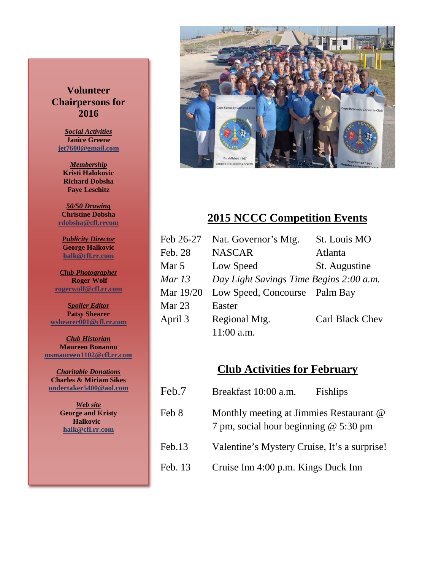#### **Volunteer Chairpersons for 2016**

*Social Activities* **Janice Greene jet7600@gmail.com**

*Membership* **Kristi Halokovic Richard Dobsha Faye Leschitz**

*50/50 Drawing* **Christine Dobsha [rdobsha@cfl.rrcom](mailto:rdobsha@cfl.rrcom)**

*Publicity Director* **George Halkovic halk@cfl.rr.com**

*Club Photographer* **Roger Wolf [rogerwolf@cfl.rr.com](mailto:rogerwolf@cfl.rr.com)**

*Spoiler Editor* **Patsy Shearer [wshearer001@cfl.rr.com](mailto:cozyjohn@cfl.rr.com)**

*Club Historian* **Maureen Bonanno [msmaureen1102@cfl.rr.com](mailto:msmaureen1102@cfl.rr.com)**

*Charitable Donations* **Charles & Miriam Sikes [undertaker5400@aol.com](mailto:undertaker5400@aol.com)**

> *Web site* **George and Kristy Halkovic halk@cfl.rr.com**



#### **2015 NCCC Competition Events**

| Feb 26-27 | Nat. Governor's Mtg.                    | St. Louis MO    |
|-----------|-----------------------------------------|-----------------|
| Feb. 28   | <b>NASCAR</b>                           | Atlanta         |
| Mar 5     | Low Speed                               | St. Augustine   |
| Mar 13    | Day Light Savings Time Begins 2:00 a.m. |                 |
| Mar 19/20 | Low Speed, Concourse Palm Bay           |                 |
| Mar 23    | Easter                                  |                 |
| April 3   | Regional Mtg.                           | Carl Black Chev |
|           | $11:00$ a.m.                            |                 |

#### **Club Activities for February**

| Feb.7   | Breakfast 10:00 a.m.                                                             | <b>Fishlips</b> |
|---------|----------------------------------------------------------------------------------|-----------------|
| Feb 8   | Monthly meeting at Jimmies Restaurant @<br>7 pm, social hour beginning @ 5:30 pm |                 |
| Feb.13  | Valentine's Mystery Cruise, It's a surprise!                                     |                 |
| Feb. 13 | Cruise Inn 4:00 p.m. Kings Duck Inn                                              |                 |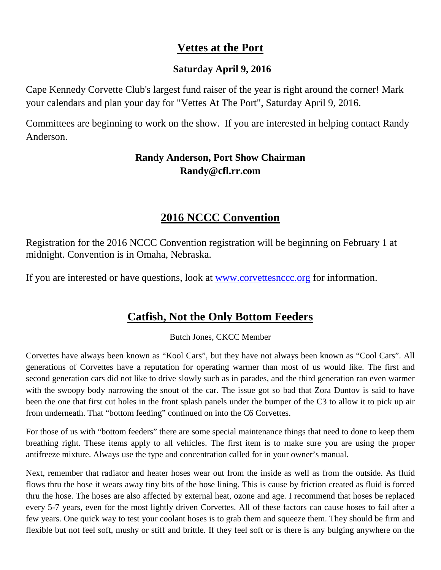## **Vettes at the Port**

#### **Saturday April 9, 2016**

Cape Kennedy Corvette Club's largest fund raiser of the year is right around the corner! Mark your calendars and plan your day for "Vettes At The Port", Saturday April 9, 2016.

Committees are beginning to work on the show. If you are interested in helping contact Randy Anderson.

#### **Randy Anderson, Port Show Chairman Randy@cfl.rr.com**

## **2016 NCCC Convention**

Registration for the 2016 NCCC Convention registration will be beginning on February 1 at midnight. Convention is in Omaha, Nebraska.

If you are interested or have questions, look at [www.corvettesnccc.org](http://www.corvettesnccc.org/) for information.

## **Catfish, Not the Only Bottom Feeders**

Butch Jones, CKCC Member

Corvettes have always been known as "Kool Cars", but they have not always been known as "Cool Cars". All generations of Corvettes have a reputation for operating warmer than most of us would like. The first and second generation cars did not like to drive slowly such as in parades, and the third generation ran even warmer with the swoopy body narrowing the snout of the car. The issue got so bad that Zora Duntov is said to have been the one that first cut holes in the front splash panels under the bumper of the C3 to allow it to pick up air from underneath. That "bottom feeding" continued on into the C6 Corvettes.

For those of us with "bottom feeders" there are some special maintenance things that need to done to keep them breathing right. These items apply to all vehicles. The first item is to make sure you are using the proper antifreeze mixture. Always use the type and concentration called for in your owner's manual.

Next, remember that radiator and heater hoses wear out from the inside as well as from the outside. As fluid flows thru the hose it wears away tiny bits of the hose lining. This is cause by friction created as fluid is forced thru the hose. The hoses are also affected by external heat, ozone and age. I recommend that hoses be replaced every 5-7 years, even for the most lightly driven Corvettes. All of these factors can cause hoses to fail after a few years. One quick way to test your coolant hoses is to grab them and squeeze them. They should be firm and flexible but not feel soft, mushy or stiff and brittle. If they feel soft or is there is any bulging anywhere on the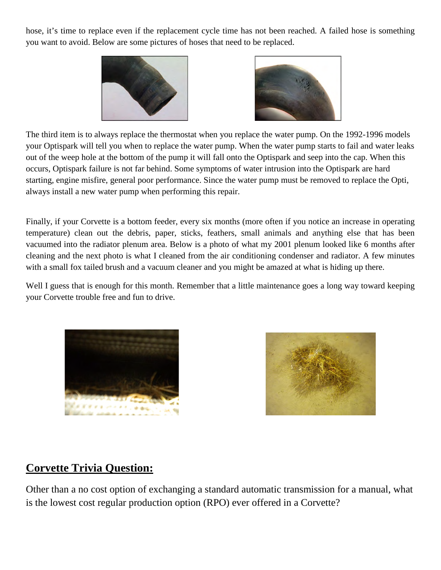hose, it's time to replace even if the replacement cycle time has not been reached. A failed hose is something you want to avoid. Below are some pictures of hoses that need to be replaced.





The third item is to always replace the thermostat when you replace the water pump. On the 1992-1996 models your Optispark will tell you when to replace the water pump. When the water pump starts to fail and water leaks out of the weep hole at the bottom of the pump it will fall onto the Optispark and seep into the cap. When this occurs, Optispark failure is not far behind. Some symptoms of water intrusion into the Optispark are hard starting, engine misfire, general poor performance. Since the water pump must be removed to replace the Opti, always install a new water pump when performing this repair.

Finally, if your Corvette is a bottom feeder, every six months (more often if you notice an increase in operating temperature) clean out the debris, paper, sticks, feathers, small animals and anything else that has been vacuumed into the radiator plenum area. Below is a photo of what my 2001 plenum looked like 6 months after cleaning and the next photo is what I cleaned from the air conditioning condenser and radiator. A few minutes with a small fox tailed brush and a vacuum cleaner and you might be amazed at what is hiding up there.

Well I guess that is enough for this month. Remember that a little maintenance goes a long way toward keeping your Corvette trouble free and fun to drive.





## **Corvette Trivia Question:**

Other than a no cost option of exchanging a standard automatic transmission for a manual, what is the lowest cost regular production option (RPO) ever offered in a Corvette?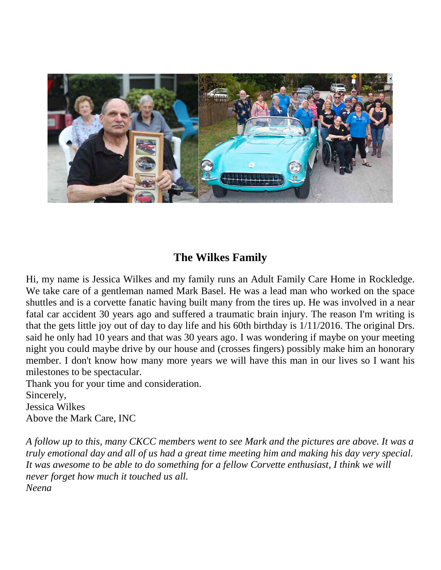

## **The Wilkes Family**

Hi, my name is Jessica Wilkes and my family runs an Adult Family Care Home in Rockledge. We take care of a gentleman named Mark Basel. He was a lead man who worked on the space shuttles and is a corvette fanatic having built many from the tires up. He was involved in a near fatal car accident 30 years ago and suffered a traumatic brain injury. The reason I'm writing is that the gets little joy out of day to day life and his 60th birthday is 1/11/2016. The original Drs. said he only had 10 years and that was 30 years ago. I was wondering if maybe on your meeting night you could maybe drive by our house and (crosses fingers) possibly make him an honorary member. I don't know how many more years we will have this man in our lives so I want his milestones to be spectacular.

Thank you for your time and consideration.

Sincerely,

Jessica Wilkes

Above the Mark Care, INC

*A follow up to this, many CKCC members went to see Mark and the pictures are above. It was a truly emotional day and all of us had a great time meeting him and making his day very special. It was awesome to be able to do something for a fellow Corvette enthusiast, I think we will never forget how much it touched us all. Neena*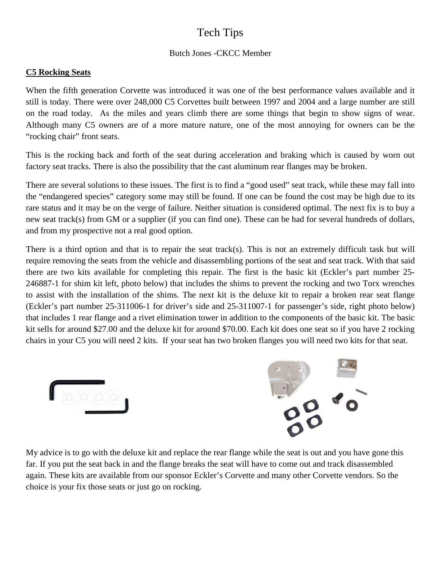## Tech Tips

#### Butch Jones -CKCC Member

#### **C5 Rocking Seats**

When the fifth generation Corvette was introduced it was one of the best performance values available and it still is today. There were over 248,000 C5 Corvettes built between 1997 and 2004 and a large number are still on the road today. As the miles and years climb there are some things that begin to show signs of wear. Although many C5 owners are of a more mature nature, one of the most annoying for owners can be the "rocking chair" front seats.

This is the rocking back and forth of the seat during acceleration and braking which is caused by worn out factory seat tracks. There is also the possibility that the cast aluminum rear flanges may be broken.

There are several solutions to these issues. The first is to find a "good used" seat track, while these may fall into the "endangered species" category some may still be found. If one can be found the cost may be high due to its rare status and it may be on the verge of failure. Neither situation is considered optimal. The next fix is to buy a new seat track(s) from GM or a supplier (if you can find one). These can be had for several hundreds of dollars, and from my prospective not a real good option.

There is a third option and that is to repair the seat track(s). This is not an extremely difficult task but will require removing the seats from the vehicle and disassembling portions of the seat and seat track. With that said there are two kits available for completing this repair. The first is the basic kit (Eckler's part number 25- 246887-1 for shim kit left, photo below) that includes the shims to prevent the rocking and two Torx wrenches to assist with the installation of the shims. The next kit is the deluxe kit to repair a broken rear seat flange (Eckler's part number 25-311006-1 for driver's side and 25-311007-1 for passenger's side, right photo below) that includes 1 rear flange and a rivet elimination tower in addition to the components of the basic kit. The basic kit sells for around \$27.00 and the deluxe kit for around \$70.00. Each kit does one seat so if you have 2 rocking chairs in your C5 you will need 2 kits. If your seat has two broken flanges you will need two kits for that seat.





My advice is to go with the deluxe kit and replace the rear flange while the seat is out and you have gone this far. If you put the seat back in and the flange breaks the seat will have to come out and track disassembled again. These kits are available from our sponsor Eckler's Corvette and many other Corvette vendors. So the choice is your fix those seats or just go on rocking.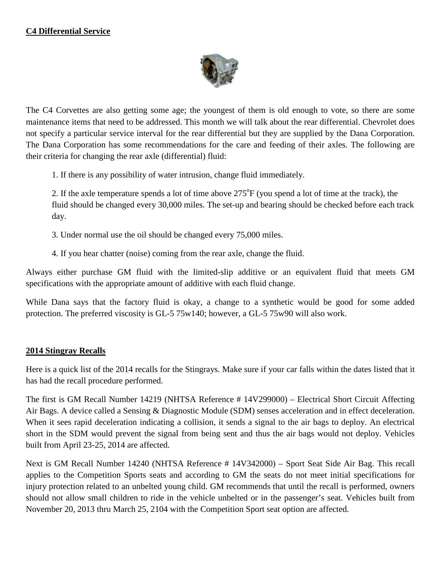

The C4 Corvettes are also getting some age; the youngest of them is old enough to vote, so there are some maintenance items that need to be addressed. This month we will talk about the rear differential. Chevrolet does not specify a particular service interval for the rear differential but they are supplied by the Dana Corporation. The Dana Corporation has some recommendations for the care and feeding of their axles. The following are their criteria for changing the rear axle (differential) fluid:

1. If there is any possibility of water intrusion, change fluid immediately.

2. If the axle temperature spends a lot of time above  $275^{\circ}F$  (you spend a lot of time at the track), the fluid should be changed every 30,000 miles. The set-up and bearing should be checked before each track day.

3. Under normal use the oil should be changed every 75,000 miles.

4. If you hear chatter (noise) coming from the rear axle, change the fluid.

Always either purchase GM fluid with the limited-slip additive or an equivalent fluid that meets GM specifications with the appropriate amount of additive with each fluid change.

While Dana says that the factory fluid is okay, a change to a synthetic would be good for some added protection. The preferred viscosity is GL-5 75w140; however, a GL-5 75w90 will also work.

#### **2014 Stingray Recalls**

Here is a quick list of the 2014 recalls for the Stingrays. Make sure if your car falls within the dates listed that it has had the recall procedure performed.

The first is GM Recall Number 14219 (NHTSA Reference # 14V299000) – Electrical Short Circuit Affecting Air Bags. A device called a Sensing & Diagnostic Module (SDM) senses acceleration and in effect deceleration. When it sees rapid deceleration indicating a collision, it sends a signal to the air bags to deploy. An electrical short in the SDM would prevent the signal from being sent and thus the air bags would not deploy. Vehicles built from April 23-25, 2014 are affected.

Next is GM Recall Number 14240 (NHTSA Reference # 14V342000) – Sport Seat Side Air Bag. This recall applies to the Competition Sports seats and according to GM the seats do not meet initial specifications for injury protection related to an unbelted young child. GM recommends that until the recall is performed, owners should not allow small children to ride in the vehicle unbelted or in the passenger's seat. Vehicles built from November 20, 2013 thru March 25, 2104 with the Competition Sport seat option are affected.